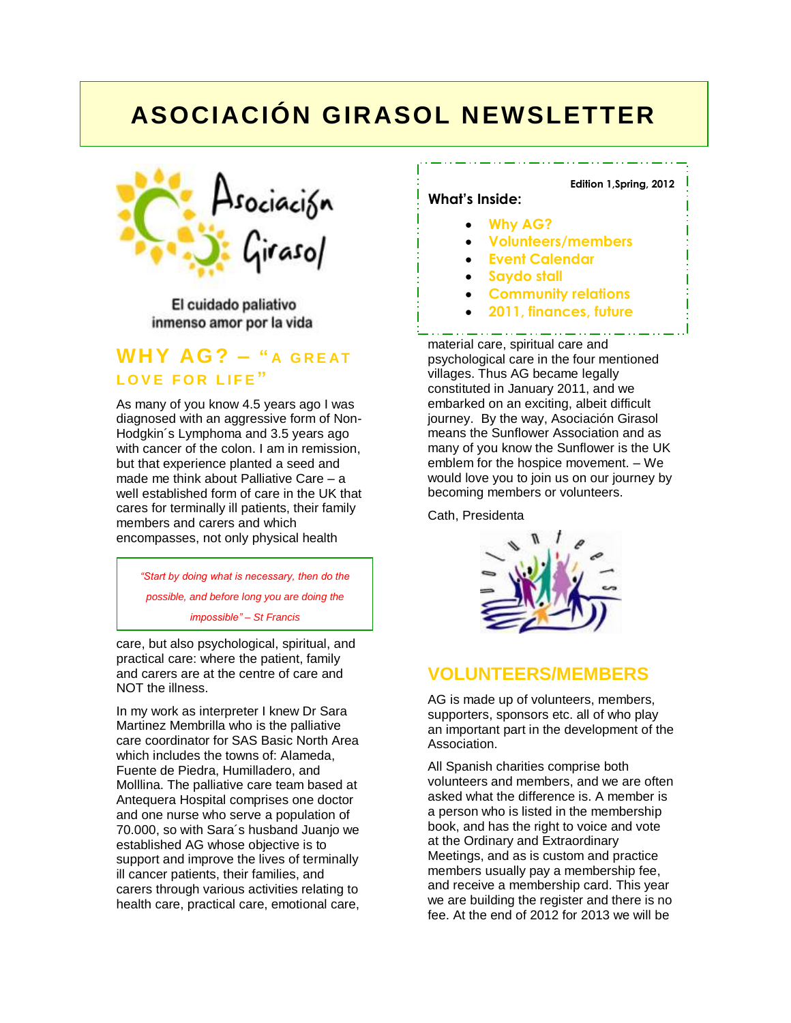## **ASOCIACIÓN GIRASOL NEWSLETTER**



El cuidado paliativo inmenso amor por la vida

### **WHY AG? – " A G R E AT LOVE FOR LIFE"**

As many of you know 4.5 years ago I was diagnosed with an aggressive form of Non-Hodgkin´s Lymphoma and 3.5 years ago with cancer of the colon. I am in remission, but that experience planted a seed and made me think about Palliative Care – a well established form of care in the UK that cares for terminally ill patients, their family members and carers and which encompasses, not only physical health

*"Start by doing what is necessary, then do the possible, and before long you are doing the impossible" – St Francis*

care, but also psychological, spiritual, and practical care: where the patient, family and carers are at the centre of care and NOT the illness.

In my work as interpreter I knew Dr Sara Martinez Membrilla who is the palliative care coordinator for SAS Basic North Area which includes the towns of: Alameda. Fuente de Piedra, Humilladero, and Molllina. The palliative care team based at Antequera Hospital comprises one doctor and one nurse who serve a population of 70.000, so with Sara´s husband Juanjo we established AG whose objective is to support and improve the lives of terminally ill cancer patients, their families, and carers through various activities relating to health care, practical care, emotional care,

#### **Edition 1,Spring, 2012**

#### **What's Inside:**

- **Why AG?**
- **Volunteers/members**
- **Event Calendar**
- **Saydo stall**
- **Community relations**
	- **2011, finances, future**

material care, spiritual care and psychological care in the four mentioned villages. Thus AG became legally constituted in January 2011, and we embarked on an exciting, albeit difficult journey. By the way, Asociación Girasol means the Sunflower Association and as many of you know the Sunflower is the UK emblem for the hospice movement. – We would love you to join us on our journey by becoming members or volunteers.

Cath, Presidenta



### **VOLUNTEERS/MEMBERS**

AG is made up of volunteers, members, supporters, sponsors etc. all of who play an important part in the development of the Association.

All Spanish charities comprise both volunteers and members, and we are often asked what the difference is. A member is a person who is listed in the membership book, and has the right to voice and vote at the Ordinary and Extraordinary Meetings, and as is custom and practice members usually pay a membership fee, and receive a membership card. This year we are building the register and there is no fee. At the end of 2012 for 2013 we will be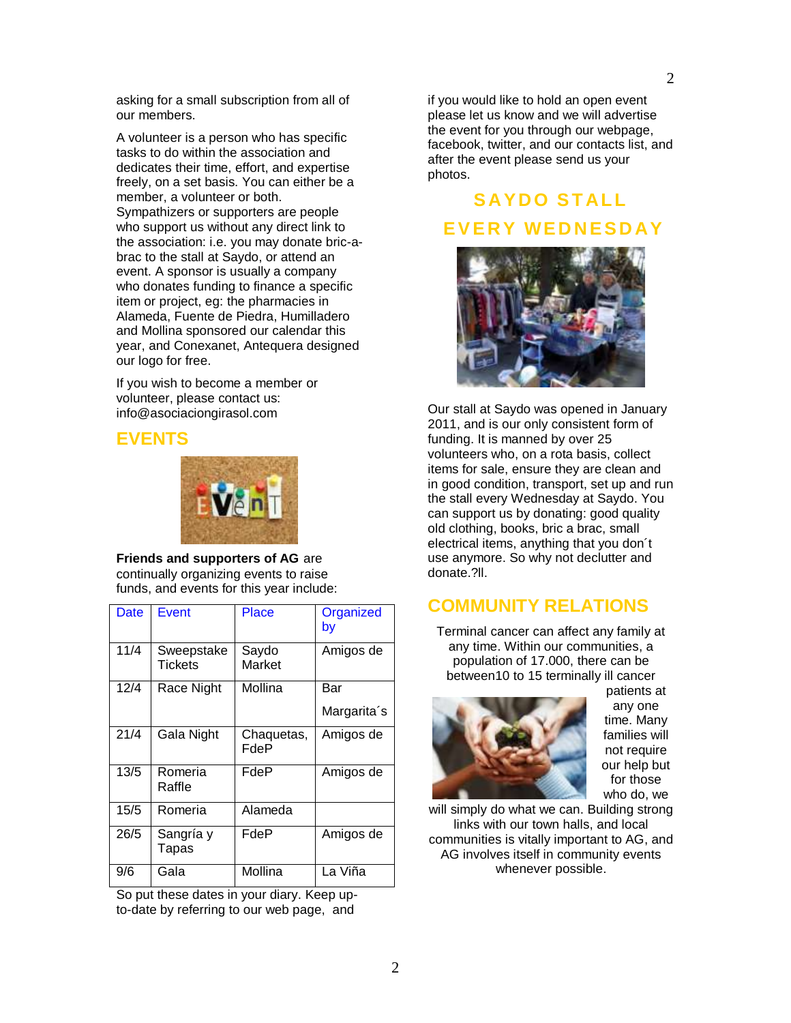A volunteer is a person who has specific tasks to do within the association and dedicates their time, effort, and expertise freely, on a set basis. You can either be a member, a volunteer or both. Sympathizers or supporters are people who support us without any direct link to the association: i.e. you may donate bric-abrac to the stall at Saydo, or attend an event. A sponsor is usually a company who donates funding to finance a specific item or project, eg: the pharmacies in Alameda, Fuente de Piedra, Humilladero and Mollina sponsored our calendar this year, and Conexanet, Antequera designed our logo for free.

If you wish to become a member or volunteer, please contact us: info@asociaciongirasol.com

#### **EVENTS**



**Friends and supporters of AG** are continually organizing events to raise funds, and events for this year include:

| <b>Date</b> | <b>Event</b>          | Place              | Organized<br>by |
|-------------|-----------------------|--------------------|-----------------|
| 11/4        | Sweepstake<br>Tickets | Saydo<br>Market    | Amigos de       |
| 12/4        | Race Night            | Mollina            | Bar             |
|             |                       |                    | Margarita's     |
| 21/4        | Gala Night            | Chaquetas,<br>FdeP | Amigos de       |
| 13/5        | Romeria<br>Raffle     | FdeP               | Amigos de       |
| 15/5        | Romeria               | Alameda            |                 |
| 26/5        | Sangría y<br>Tapas    | FdeP               | Amigos de       |
| 9/6         | Gala                  | Mollina            | La Viña         |

So put these dates in your diary. Keep upto-date by referring to our web page, and

if you would like to hold an open event please let us know and we will advertise the event for you through our webpage, facebook, twitter, and our contacts list, and after the event please send us your photos.

## **S AYD O S T AL L E V E R Y WE D N E S D AY**



Our stall at Saydo was opened in January 2011, and is our only consistent form of funding. It is manned by over 25 volunteers who, on a rota basis, collect items for sale, ensure they are clean and in good condition, transport, set up and run the stall every Wednesday at Saydo. You can support us by donating: good quality old clothing, books, bric a brac, small electrical items, anything that you don´t use anymore. So why not declutter and donate.?ll.

## **COMMUNITY RELATIONS**

Terminal cancer can affect any family at any time. Within our communities, a population of 17.000, there can be between10 to 15 terminally ill cancer



patients at any one time. Many families will not require our help but for those who do, we

will simply do what we can. Building strong links with our town halls, and local communities is vitally important to AG, and AG involves itself in community events whenever possible.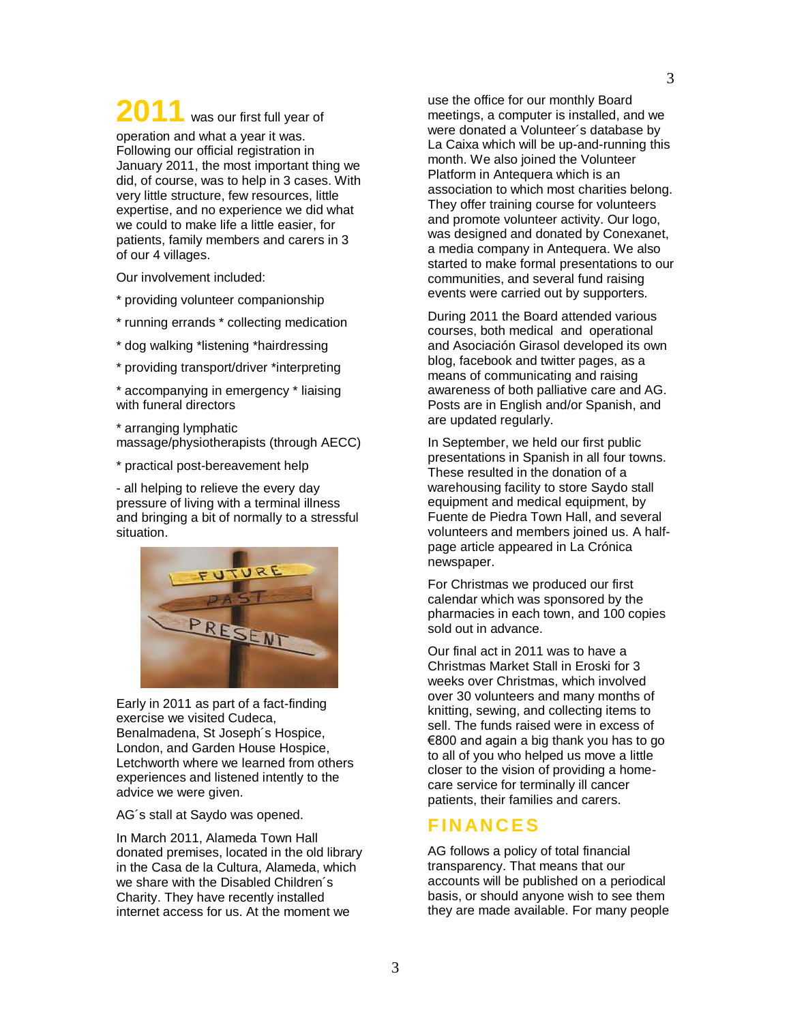# 2011 was our first full year of

operation and what a year it was. Following our official registration in January 2011, the most important thing we did, of course, was to help in 3 cases. With very little structure, few resources, little expertise, and no experience we did what we could to make life a little easier, for patients, family members and carers in 3 of our 4 villages.

Our involvement included:

\* providing volunteer companionship

- \* running errands \* collecting medication
- \* dog walking \*listening \*hairdressing
- \* providing transport/driver \*interpreting

\* accompanying in emergency \* liaising with funeral directors

\* arranging lymphatic massage/physiotherapists (through AECC)

\* practical post-bereavement help

- all helping to relieve the every day pressure of living with a terminal illness and bringing a bit of normally to a stressful situation.



Early in 2011 as part of a fact-finding exercise we visited Cudeca, Benalmadena, St Joseph´s Hospice, London, and Garden House Hospice, Letchworth where we learned from others experiences and listened intently to the advice we were given.

AG´s stall at Saydo was opened.

In March 2011, Alameda Town Hall donated premises, located in the old library in the Casa de la Cultura, Alameda, which we share with the Disabled Children´s Charity. They have recently installed internet access for us. At the moment we

use the office for our monthly Board meetings, a computer is installed, and we were donated a Volunteer´s database by La Caixa which will be up-and-running this month. We also joined the Volunteer Platform in Antequera which is an association to which most charities belong. They offer training course for volunteers and promote volunteer activity. Our logo, was designed and donated by Conexanet, a media company in Antequera. We also started to make formal presentations to our communities, and several fund raising events were carried out by supporters.

During 2011 the Board attended various courses, both medical and operational and Asociación Girasol developed its own blog, facebook and twitter pages, as a means of communicating and raising awareness of both palliative care and AG. Posts are in English and/or Spanish, and are updated regularly.

In September, we held our first public presentations in Spanish in all four towns. These resulted in the donation of a warehousing facility to store Saydo stall equipment and medical equipment, by Fuente de Piedra Town Hall, and several volunteers and members joined us. A halfpage article appeared in La Crónica newspaper.

For Christmas we produced our first calendar which was sponsored by the pharmacies in each town, and 100 copies sold out in advance.

Our final act in 2011 was to have a Christmas Market Stall in Eroski for 3 weeks over Christmas, which involved over 30 volunteers and many months of knitting, sewing, and collecting items to sell. The funds raised were in excess of €800 and again a big thank you has to go to all of you who helped us move a little closer to the vision of providing a homecare service for terminally ill cancer patients, their families and carers.

#### **F IN AN C E S**

AG follows a policy of total financial transparency. That means that our accounts will be published on a periodical basis, or should anyone wish to see them they are made available. For many people